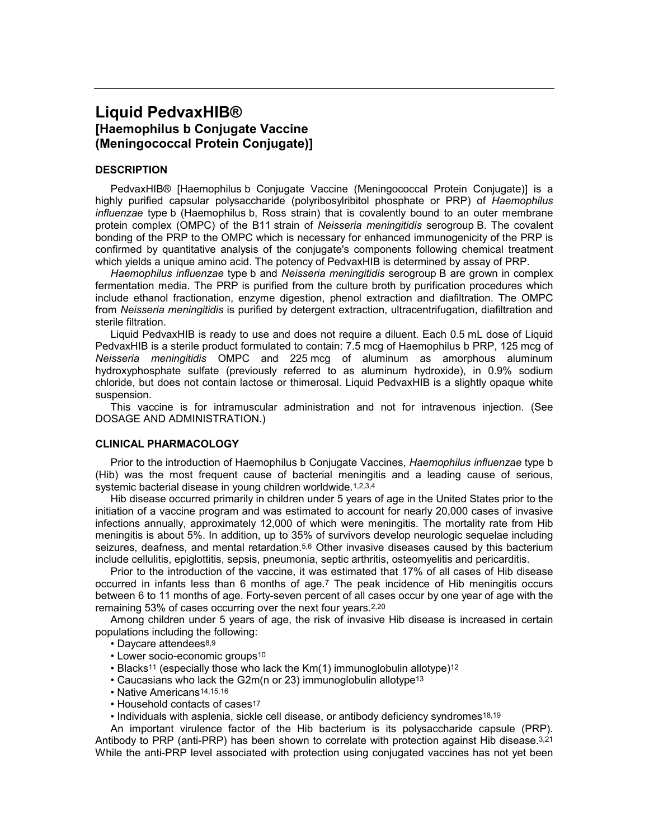# **Liquid PedvaxHIB® [Haemophilus b Conjugate Vaccine (Meningococcal Protein Conjugate)]**

## **DESCRIPTION**

PedvaxHIB® [Haemophilus b Conjugate Vaccine (Meningococcal Protein Conjugate)] is a highly purified capsular polysaccharide (polyribosylribitol phosphate or PRP) of *Haemophilus influenzae* type b (Haemophilus b, Ross strain) that is covalently bound to an outer membrane protein complex (OMPC) of the B11 strain of *Neisseria meningitidis* serogroup B. The covalent bonding of the PRP to the OMPC which is necessary for enhanced immunogenicity of the PRP is confirmed by quantitative analysis of the conjugate's components following chemical treatment which yields a unique amino acid. The potency of PedvaxHIB is determined by assay of PRP.

*Haemophilus influenzae* type b and *Neisseria meningitidis* serogroup B are grown in complex fermentation media. The PRP is purified from the culture broth by purification procedures which include ethanol fractionation, enzyme digestion, phenol extraction and diafiltration. The OMPC from *Neisseria meningitidis* is purified by detergent extraction, ultracentrifugation, diafiltration and sterile filtration.

Liquid PedvaxHIB is ready to use and does not require a diluent. Each 0.5 mL dose of Liquid PedvaxHIB is a sterile product formulated to contain: 7.5 mcg of Haemophilus b PRP, 125 mcg of *Neisseria meningitidis* OMPC and 225 mcg of aluminum as amorphous aluminum hydroxyphosphate sulfate (previously referred to as aluminum hydroxide), in 0.9% sodium chloride, but does not contain lactose or thimerosal. Liquid PedvaxHIB is a slightly opaque white suspension.

This vaccine is for intramuscular administration and not for intravenous injection. (See DOSAGE AND ADMINISTRATION.)

## **CLINICAL PHARMACOLOGY**

Prior to the introduction of Haemophilus b Conjugate Vaccines, *Haemophilus influenzae* type b (Hib) was the most frequent cause of bacterial meningitis and a leading cause of serious, systemic bacterial disease in young children worldwide.1,2,3,4

Hib disease occurred primarily in children under 5 years of age in the United States prior to the initiation of a vaccine program and was estimated to account for nearly 20,000 cases of invasive infections annually, approximately 12,000 of which were meningitis. The mortality rate from Hib meningitis is about 5%. In addition, up to 35% of survivors develop neurologic sequelae including seizures, deafness, and mental retardation.<sup>5,6</sup> Other invasive diseases caused by this bacterium include cellulitis, epiglottitis, sepsis, pneumonia, septic arthritis, osteomyelitis and pericarditis.

Prior to the introduction of the vaccine, it was estimated that 17% of all cases of Hib disease occurred in infants less than 6 months of age.<sup>7</sup> The peak incidence of Hib meningitis occurs between 6 to 11 months of age. Forty-seven percent of all cases occur by one year of age with the remaining 53% of cases occurring over the next four years.2,20

Among children under 5 years of age, the risk of invasive Hib disease is increased in certain populations including the following:

- Daycare attendees8,9
- Lower socio-economic groups<sup>10</sup>
- Blacks<sup>11</sup> (especially those who lack the Km(1) immunoglobulin allotype)<sup>12</sup>
- Caucasians who lack the G2m(n or 23) immunoglobulin allotype<sup>13</sup>
- Native Americans14,15,16
- Household contacts of cases<sup>17</sup>

• Individuals with asplenia, sickle cell disease, or antibody deficiency syndromes18,19

An important virulence factor of the Hib bacterium is its polysaccharide capsule (PRP). Antibody to PRP (anti-PRP) has been shown to correlate with protection against Hib disease.<sup>3,21</sup> While the anti-PRP level associated with protection using conjugated vaccines has not yet been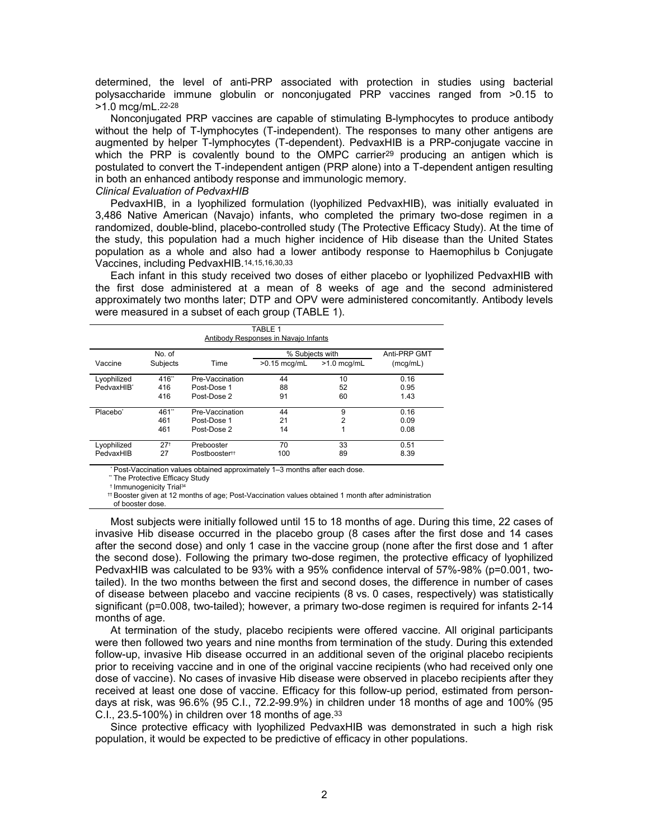determined, the level of anti-PRP associated with protection in studies using bacterial polysaccharide immune globulin or nonconjugated PRP vaccines ranged from >0.15 to >1.0 mcg/mL.22-28

Nonconjugated PRP vaccines are capable of stimulating B-lymphocytes to produce antibody without the help of T-lymphocytes (T-independent). The responses to many other antigens are augmented by helper T-lymphocytes (T-dependent). PedvaxHIB is a PRP-conjugate vaccine in which the PRP is covalently bound to the OMPC carrier<sup>29</sup> producing an antigen which is postulated to convert the T-independent antigen (PRP alone) into a T-dependent antigen resulting in both an enhanced antibody response and immunologic memory.

## *Clinical Evaluation of PedvaxHIB*

PedvaxHIB, in a lyophilized formulation (lyophilized PedvaxHIB), was initially evaluated in 3,486 Native American (Navajo) infants, who completed the primary two-dose regimen in a randomized, double-blind, placebo-controlled study (The Protective Efficacy Study). At the time of the study, this population had a much higher incidence of Hib disease than the United States population as a whole and also had a lower antibody response to Haemophilus b Conjugate Vaccines, including PedvaxHIB.14,15,16,30,33

Each infant in this study received two doses of either placebo or lyophilized PedvaxHIB with the first dose administered at a mean of 8 weeks of age and the second administered approximately two months later; DTP and OPV were administered concomitantly. Antibody levels were measured in a subset of each group (TABLE 1).

| TABLE 1<br>Antibody Responses in Navajo Infants |                       |                                               |                                   |                |                          |  |
|-------------------------------------------------|-----------------------|-----------------------------------------------|-----------------------------------|----------------|--------------------------|--|
| Vaccine                                         | No. of<br>Subjects    | Time                                          | % Subiects with<br>$>0.15$ mcg/mL | $>1.0$ mca/mL  | Anti-PRP GMT<br>(mcg/mL) |  |
| Lyophilized<br>PedvaxHIB*                       | 416**<br>416<br>416   | Pre-Vaccination<br>Post-Dose 1<br>Post-Dose 2 | 44<br>88<br>91                    | 10<br>52<br>60 | 0.16<br>0.95<br>1.43     |  |
| Placebo <sup>*</sup>                            | 461*<br>461<br>461    | Pre-Vaccination<br>Post-Dose 1<br>Post-Dose 2 | 44<br>21<br>14                    | 9<br>2         | 0.16<br>0.09<br>0.08     |  |
| Lyophilized<br>PedvaxHIB                        | 27 <sup>†</sup><br>27 | Prebooster<br>Postbooster <sup>tt</sup>       | 70<br>100                         | 33<br>89       | 0.51<br>8.39             |  |

\* Post-Vaccination values obtained approximately 1–3 months after each dose.

\*\* The Protective Efficacy Study

† Immunogenicity Trial<sup>34</sup>

†† Booster given at 12 months of age; Post-Vaccination values obtained 1 month after administration

of booster dose.

Most subjects were initially followed until 15 to 18 months of age. During this time, 22 cases of invasive Hib disease occurred in the placebo group (8 cases after the first dose and 14 cases after the second dose) and only 1 case in the vaccine group (none after the first dose and 1 after the second dose). Following the primary two-dose regimen, the protective efficacy of lyophilized PedvaxHIB was calculated to be 93% with a 95% confidence interval of 57%-98% (p=0.001, twotailed). In the two months between the first and second doses, the difference in number of cases of disease between placebo and vaccine recipients (8 vs. 0 cases, respectively) was statistically significant (p=0.008, two-tailed); however, a primary two-dose regimen is required for infants 2-14 months of age.

At termination of the study, placebo recipients were offered vaccine. All original participants were then followed two years and nine months from termination of the study. During this extended follow-up, invasive Hib disease occurred in an additional seven of the original placebo recipients prior to receiving vaccine and in one of the original vaccine recipients (who had received only one dose of vaccine). No cases of invasive Hib disease were observed in placebo recipients after they received at least one dose of vaccine. Efficacy for this follow-up period, estimated from persondays at risk, was 96.6% (95 C.I., 72.2-99.9%) in children under 18 months of age and 100% (95 C.I.,  $23.5-100\%$ ) in children over 18 months of age.  $33$ 

Since protective efficacy with lyophilized PedvaxHIB was demonstrated in such a high risk population, it would be expected to be predictive of efficacy in other populations.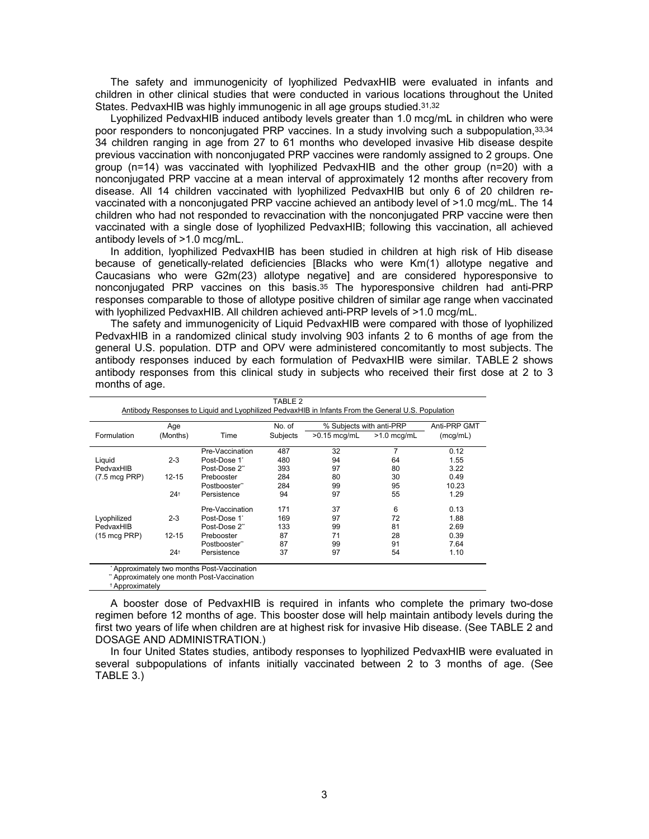The safety and immunogenicity of lyophilized PedvaxHIB were evaluated in infants and children in other clinical studies that were conducted in various locations throughout the United States. PedvaxHIB was highly immunogenic in all age groups studied.31,32

Lyophilized PedvaxHIB induced antibody levels greater than 1.0 mcg/mL in children who were poor responders to nonconjugated PRP vaccines. In a study involving such a subpopulation, 33,34 34 children ranging in age from 27 to 61 months who developed invasive Hib disease despite previous vaccination with nonconjugated PRP vaccines were randomly assigned to 2 groups. One group (n=14) was vaccinated with lyophilized PedvaxHIB and the other group (n=20) with a nonconjugated PRP vaccine at a mean interval of approximately 12 months after recovery from disease. All 14 children vaccinated with lyophilized PedvaxHIB but only 6 of 20 children revaccinated with a nonconjugated PRP vaccine achieved an antibody level of >1.0 mcg/mL. The 14 children who had not responded to revaccination with the nonconjugated PRP vaccine were then vaccinated with a single dose of lyophilized PedvaxHIB; following this vaccination, all achieved antibody levels of >1.0 mcg/mL.

In addition, lyophilized PedvaxHIB has been studied in children at high risk of Hib disease because of genetically-related deficiencies [Blacks who were Km(1) allotype negative and Caucasians who were G2m(23) allotype negative] and are considered hyporesponsive to nonconjugated PRP vaccines on this basis.<sup>35</sup> The hyporesponsive children had anti-PRP responses comparable to those of allotype positive children of similar age range when vaccinated with lyophilized PedvaxHIB. All children achieved anti-PRP levels of >1.0 mcg/mL.

The safety and immunogenicity of Liquid PedvaxHIB were compared with those of lyophilized PedvaxHIB in a randomized clinical study involving 903 infants 2 to 6 months of age from the general U.S. population. DTP and OPV were administered concomitantly to most subjects. The antibody responses induced by each formulation of PedvaxHIB were similar. TABLE 2 shows antibody responses from this clinical study in subjects who received their first dose at 2 to 3 months of age.

|                         | Age       |                 | No. of   | % Subjects with anti-PRP |               | Anti-PRP GMT |
|-------------------------|-----------|-----------------|----------|--------------------------|---------------|--------------|
| Formulation             | (Months)  | Time            | Subjects | $>0.15$ mcg/mL           | $>1.0$ mcg/mL | (mcq/mL)     |
|                         |           | Pre-Vaccination | 487      | 32                       | 7             | 0.12         |
| Liguid                  | $2 - 3$   | Post-Dose 1     | 480      | 94                       | 64            | 1.55         |
| PedvaxHIB               |           | Post-Dose 2"    | 393      | 97                       | 80            | 3.22         |
| $(7.5 \text{ mcg PRP})$ | $12 - 15$ | Prebooster      | 284      | 80                       | 30            | 0.49         |
|                         |           | Postbooster"    | 284      | 99                       | 95            | 10.23        |
|                         | $24^{+}$  | Persistence     | 94       | 97                       | 55            | 1.29         |
|                         |           | Pre-Vaccination | 171      | 37                       | 6             | 0.13         |
| Lyophilized             | $2 - 3$   | Post-Dose 1'    | 169      | 97                       | 72            | 1.88         |
| PedvaxHIB               |           | Post-Dose 2"    | 133      | 99                       | 81            | 2.69         |
| $(15 \text{ mcg } PRP)$ | $12 - 15$ | Prebooster      | 87       | 71                       | 28            | 0.39         |
|                         |           | Postbooster**   | 87       | 99                       | 91            | 7.64         |
|                         | $24^{+}$  | Persistence     | 37       | 97                       | 54            | 1.10         |

† Approximately

A booster dose of PedvaxHIB is required in infants who complete the primary two-dose regimen before 12 months of age. This booster dose will help maintain antibody levels during the first two years of life when children are at highest risk for invasive Hib disease. (See TABLE 2 and DOSAGE AND ADMINISTRATION.)

In four United States studies, antibody responses to lyophilized PedvaxHIB were evaluated in several subpopulations of infants initially vaccinated between 2 to 3 months of age. (See TABLE 3.)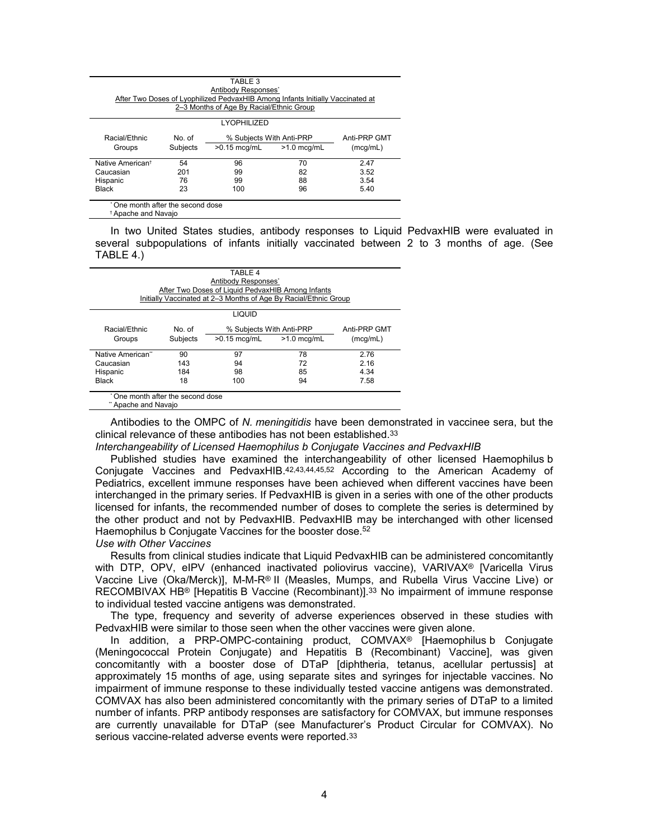| TABLE 3<br>Antibody Responses'<br>After Two Doses of Lyophilized PedvaxHIB Among Infants Initially Vaccinated at<br>2-3 Months of Age By Racial/Ethnic Group |                 |                          |              |      |  |  |
|--------------------------------------------------------------------------------------------------------------------------------------------------------------|-----------------|--------------------------|--------------|------|--|--|
| <b>LYOPHILIZED</b>                                                                                                                                           |                 |                          |              |      |  |  |
| Racial/Ethnic                                                                                                                                                | No. of          | % Subjects With Anti-PRP | Anti-PRP GMT |      |  |  |
| Groups                                                                                                                                                       | <b>Subjects</b> | $>0.15$ mcg/mL           | (mcq/mL)     |      |  |  |
| Native American <sup>t</sup>                                                                                                                                 | 54              | 96                       | 70           | 2.47 |  |  |
| Caucasian                                                                                                                                                    | 201             | 99                       | 82           | 3.52 |  |  |
| Hispanic                                                                                                                                                     | 76              | 99                       | 88           | 3.54 |  |  |
| Black                                                                                                                                                        | 23              | 100                      | 96           | 5.40 |  |  |

In two United States studies, antibody responses to Liquid PedvaxHIB were evaluated in several subpopulations of infants initially vaccinated between 2 to 3 months of age. (See TABLE 4.)

| TABLE 4                                           |                                                                  |                                 |    |              |  |  |  |
|---------------------------------------------------|------------------------------------------------------------------|---------------------------------|----|--------------|--|--|--|
| Antibody Responses <sup>®</sup>                   |                                                                  |                                 |    |              |  |  |  |
| After Two Doses of Liquid PedvaxHIB Among Infants |                                                                  |                                 |    |              |  |  |  |
|                                                   | Initially Vaccinated at 2-3 Months of Age By Racial/Ethnic Group |                                 |    |              |  |  |  |
|                                                   |                                                                  |                                 |    |              |  |  |  |
|                                                   |                                                                  | <b>LIQUID</b>                   |    |              |  |  |  |
|                                                   |                                                                  |                                 |    |              |  |  |  |
| Racial/Ethnic                                     | No. of                                                           | % Subjects With Anti-PRP        |    | Anti-PRP GMT |  |  |  |
| Groups                                            | <b>Subjects</b>                                                  | $>0.15$ mcg/mL<br>$>1.0$ mcg/mL |    | (mcq/mL)     |  |  |  |
|                                                   |                                                                  |                                 |    |              |  |  |  |
| Native American"                                  | 90                                                               | 97                              | 78 | 2.76         |  |  |  |
| Caucasian                                         | 143                                                              | 94                              | 72 | 2.16         |  |  |  |
| Hispanic                                          | 184                                                              | 98                              | 85 | 4.34         |  |  |  |
| <b>Black</b>                                      | 18                                                               | 100                             | 94 | 7.58         |  |  |  |
|                                                   |                                                                  |                                 |    |              |  |  |  |
| * One month after the second dose                 |                                                                  |                                 |    |              |  |  |  |
|                                                   | " Apache and Navaio                                              |                                 |    |              |  |  |  |

Antibodies to the OMPC of *N. meningitidis* have been demonstrated in vaccinee sera, but the clinical relevance of these antibodies has not been established.<sup>33</sup>

*Interchangeability of Licensed Haemophilus b Conjugate Vaccines and PedvaxHIB*

Published studies have examined the interchangeability of other licensed Haemophilus b Conjugate Vaccines and PedvaxHIB.42,43,44,45,52 According to the American Academy of Pediatrics, excellent immune responses have been achieved when different vaccines have been interchanged in the primary series. If PedvaxHIB is given in a series with one of the other products licensed for infants, the recommended number of doses to complete the series is determined by the other product and not by PedvaxHIB. PedvaxHIB may be interchanged with other licensed Haemophilus b Conjugate Vaccines for the booster dose.<sup>52</sup>

*Use with Other Vaccines*

Results from clinical studies indicate that Liquid PedvaxHIB can be administered concomitantly with DTP, OPV, eIPV (enhanced inactivated poliovirus vaccine), VARIVAX® [Varicella Virus Vaccine Live (Oka/Merck)], M-M-R® II (Measles, Mumps, and Rubella Virus Vaccine Live) or RECOMBIVAX HB® [Hepatitis B Vaccine (Recombinant)].<sup>33</sup> No impairment of immune response to individual tested vaccine antigens was demonstrated.

The type, frequency and severity of adverse experiences observed in these studies with PedvaxHIB were similar to those seen when the other vaccines were given alone.

In addition, a PRP-OMPC-containing product, COMVAX® [Haemophilus b Conjugate (Meningococcal Protein Conjugate) and Hepatitis B (Recombinant) Vaccine], was given concomitantly with a booster dose of DTaP [diphtheria, tetanus, acellular pertussis] at approximately 15 months of age, using separate sites and syringes for injectable vaccines. No impairment of immune response to these individually tested vaccine antigens was demonstrated. COMVAX has also been administered concomitantly with the primary series of DTaP to a limited number of infants. PRP antibody responses are satisfactory for COMVAX, but immune responses are currently unavailable for DTaP (see Manufacturer's Product Circular for COMVAX). No serious vaccine-related adverse events were reported.33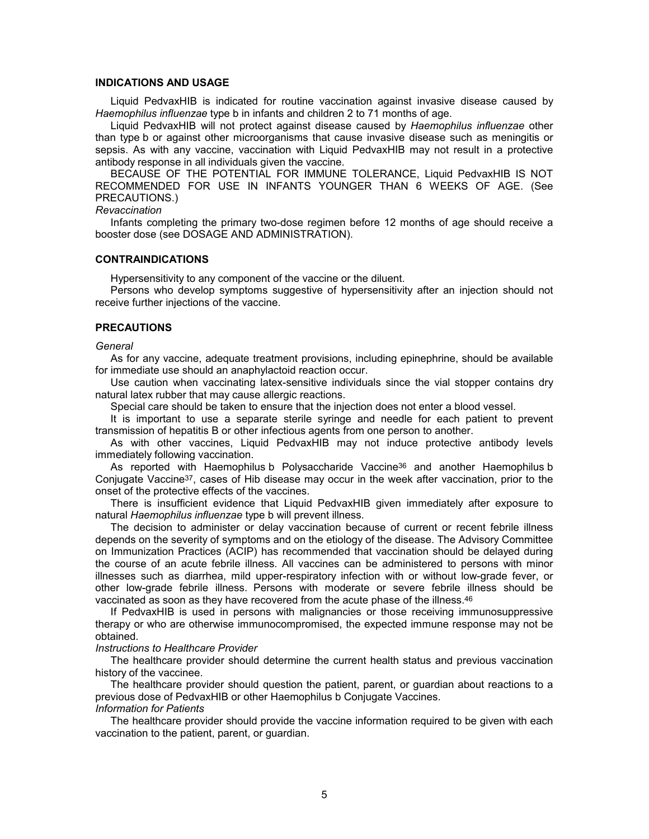## **INDICATIONS AND USAGE**

Liquid PedvaxHIB is indicated for routine vaccination against invasive disease caused by *Haemophilus influenzae* type b in infants and children 2 to 71 months of age.

Liquid PedvaxHIB will not protect against disease caused by *Haemophilus influenzae* other than type b or against other microorganisms that cause invasive disease such as meningitis or sepsis. As with any vaccine, vaccination with Liquid PedvaxHIB may not result in a protective antibody response in all individuals given the vaccine.

BECAUSE OF THE POTENTIAL FOR IMMUNE TOLERANCE, Liquid PedvaxHIB IS NOT RECOMMENDED FOR USE IN INFANTS YOUNGER THAN 6 WEEKS OF AGE. (See PRECAUTIONS.)

## *Revaccination*

Infants completing the primary two-dose regimen before 12 months of age should receive a booster dose (see DOSAGE AND ADMINISTRATION).

#### **CONTRAINDICATIONS**

Hypersensitivity to any component of the vaccine or the diluent.

Persons who develop symptoms suggestive of hypersensitivity after an injection should not receive further injections of the vaccine.

#### **PRECAUTIONS**

#### *General*

As for any vaccine, adequate treatment provisions, including epinephrine, should be available for immediate use should an anaphylactoid reaction occur.

Use caution when vaccinating latex-sensitive individuals since the vial stopper contains dry natural latex rubber that may cause allergic reactions.

Special care should be taken to ensure that the injection does not enter a blood vessel.

It is important to use a separate sterile syringe and needle for each patient to prevent transmission of hepatitis B or other infectious agents from one person to another.

As with other vaccines, Liquid PedvaxHIB may not induce protective antibody levels immediately following vaccination.

As reported with Haemophilus b Polysaccharide Vaccine<sup>36</sup> and another Haemophilus b Conjugate Vaccine37, cases of Hib disease may occur in the week after vaccination, prior to the onset of the protective effects of the vaccines.

There is insufficient evidence that Liquid PedvaxHIB given immediately after exposure to natural *Haemophilus influenzae* type b will prevent illness.

The decision to administer or delay vaccination because of current or recent febrile illness depends on the severity of symptoms and on the etiology of the disease. The Advisory Committee on Immunization Practices (ACIP) has recommended that vaccination should be delayed during the course of an acute febrile illness. All vaccines can be administered to persons with minor illnesses such as diarrhea, mild upper-respiratory infection with or without low-grade fever, or other low-grade febrile illness. Persons with moderate or severe febrile illness should be vaccinated as soon as they have recovered from the acute phase of the illness.<sup>46</sup>

If PedvaxHIB is used in persons with malignancies or those receiving immunosuppressive therapy or who are otherwise immunocompromised, the expected immune response may not be obtained.

#### *Instructions to Healthcare Provider*

The healthcare provider should determine the current health status and previous vaccination history of the vaccinee.

The healthcare provider should question the patient, parent, or guardian about reactions to a previous dose of PedvaxHIB or other Haemophilus b Conjugate Vaccines. *Information for Patients*

The healthcare provider should provide the vaccine information required to be given with each vaccination to the patient, parent, or guardian.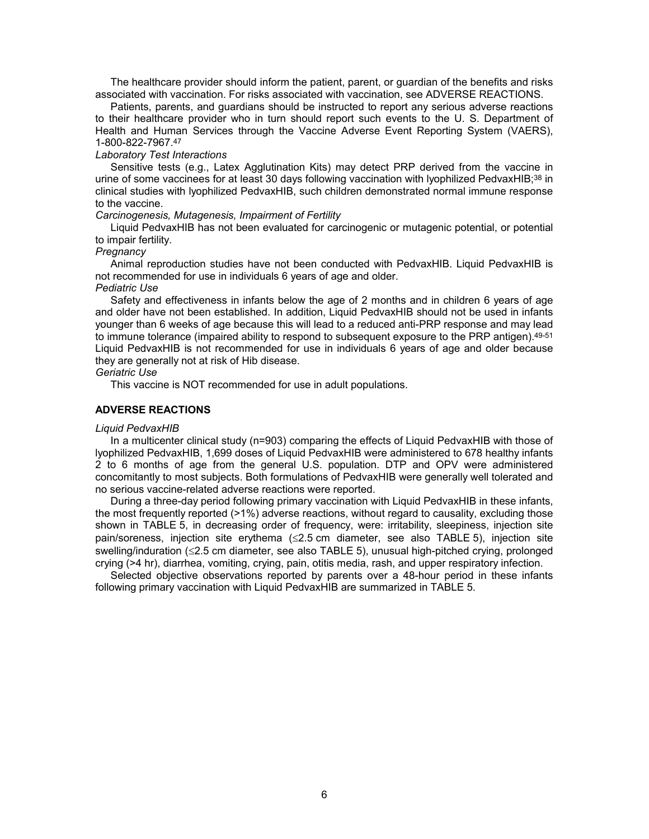The healthcare provider should inform the patient, parent, or guardian of the benefits and risks associated with vaccination. For risks associated with vaccination, see ADVERSE REACTIONS.

Patients, parents, and guardians should be instructed to report any serious adverse reactions to their healthcare provider who in turn should report such events to the U. S. Department of Health and Human Services through the Vaccine Adverse Event Reporting System (VAERS), 1-800-822-7967.<sup>47</sup>

#### *Laboratory Test Interactions*

Sensitive tests (e.g., Latex Agglutination Kits) may detect PRP derived from the vaccine in urine of some vaccinees for at least 30 days following vaccination with lyophilized PedvaxHIB;<sup>38</sup> in clinical studies with lyophilized PedvaxHIB, such children demonstrated normal immune response to the vaccine.

## *Carcinogenesis, Mutagenesis, Impairment of Fertility*

Liquid PedvaxHIB has not been evaluated for carcinogenic or mutagenic potential, or potential to impair fertility.

## *Pregnancy*

Animal reproduction studies have not been conducted with PedvaxHIB. Liquid PedvaxHIB is not recommended for use in individuals 6 years of age and older.

## *Pediatric Use*

Safety and effectiveness in infants below the age of 2 months and in children 6 years of age and older have not been established. In addition, Liquid PedvaxHIB should not be used in infants younger than 6 weeks of age because this will lead to a reduced anti-PRP response and may lead to immune tolerance (impaired ability to respond to subsequent exposure to the PRP antigen). 49-51 Liquid PedvaxHIB is not recommended for use in individuals 6 years of age and older because they are generally not at risk of Hib disease.

## *Geriatric Use*

This vaccine is NOT recommended for use in adult populations.

## **ADVERSE REACTIONS**

## *Liquid PedvaxHIB*

In a multicenter clinical study (n=903) comparing the effects of Liquid PedvaxHIB with those of lyophilized PedvaxHIB, 1,699 doses of Liquid PedvaxHIB were administered to 678 healthy infants 2 to 6 months of age from the general U.S. population. DTP and OPV were administered concomitantly to most subjects. Both formulations of PedvaxHIB were generally well tolerated and no serious vaccine-related adverse reactions were reported.

During a three-day period following primary vaccination with Liquid PedvaxHIB in these infants, the most frequently reported (>1%) adverse reactions, without regard to causality, excluding those shown in TABLE 5, in decreasing order of frequency, were: irritability, sleepiness, injection site pain/soreness, injection site erythema  $(\leq 2.5$  cm diameter, see also TABLE 5), injection site swelling/induration  $(\leq2.5 \text{ cm diameter}, \text{ see also TABLE 5})$ , unusual high-pitched crying, prolonged crying (>4 hr), diarrhea, vomiting, crying, pain, otitis media, rash, and upper respiratory infection.

Selected objective observations reported by parents over a 48-hour period in these infants following primary vaccination with Liquid PedvaxHIB are summarized in TABLE 5.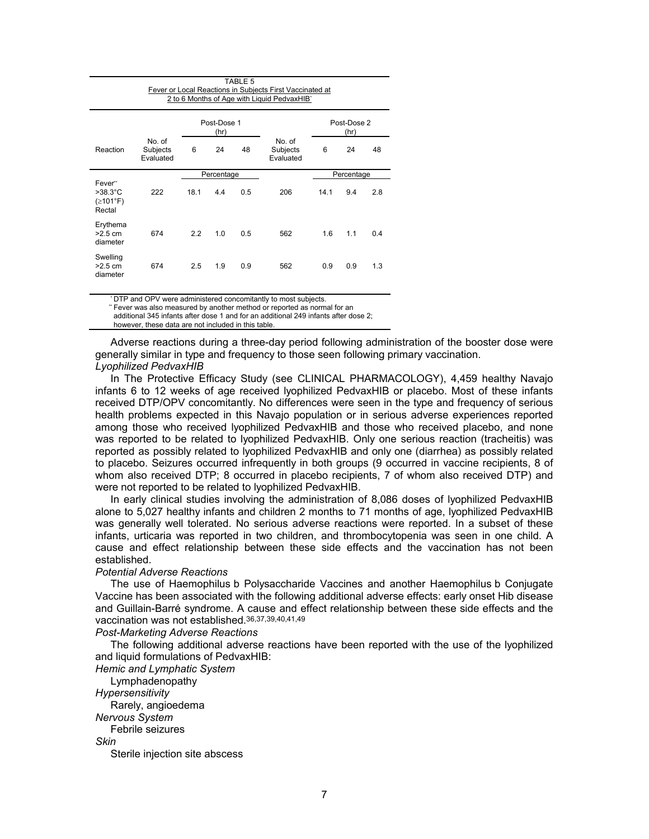| TABLE 5<br>Fever or Local Reactions in Subjects First Vaccinated at<br>2 to 6 Months of Age with Liquid PedvaxHIB* |                                 |                     |            |     |                                 |                     |            |     |
|--------------------------------------------------------------------------------------------------------------------|---------------------------------|---------------------|------------|-----|---------------------------------|---------------------|------------|-----|
|                                                                                                                    |                                 | Post-Dose 1<br>(hr) |            |     |                                 | Post-Dose 2<br>(hr) |            |     |
| Reaction                                                                                                           | No. of<br>Subjects<br>Evaluated | 6                   | 24         | 48  | No. of<br>Subjects<br>Evaluated | 6                   | 24         | 48  |
|                                                                                                                    |                                 |                     | Percentage |     |                                 |                     | Percentage |     |
| Fever"<br>$>38.3^{\circ}$ C<br>(≥101°F)<br>Rectal                                                                  | 222                             | 18.1                | 4.4        | 0.5 | 206                             | 14.1                | 9.4        | 2.8 |
| Erythema<br>$>2.5$ cm<br>diameter                                                                                  | 674                             | 2.2                 | 1.0        | 0.5 | 562                             | 1.6                 | 1.1        | 0.4 |
| Swelling<br>$>2.5$ cm<br>diameter                                                                                  | 674                             | 2.5                 | 1.9        | 0.9 | 562                             | 0.9                 | 0.9        | 1.3 |

\* DTP and OPV were administered concomitantly to most subjects.

\*\* Fever was also measured by another method or reported as normal for an

additional 345 infants after dose 1 and for an additional 249 infants after dose 2;

however, these data are not included in this table.

Adverse reactions during a three-day period following administration of the booster dose were generally similar in type and frequency to those seen following primary vaccination.

## *Lyophilized PedvaxHIB*

In The Protective Efficacy Study (see CLINICAL PHARMACOLOGY), 4,459 healthy Navajo infants 6 to 12 weeks of age received lyophilized PedvaxHIB or placebo. Most of these infants received DTP/OPV concomitantly. No differences were seen in the type and frequency of serious health problems expected in this Navajo population or in serious adverse experiences reported among those who received lyophilized PedvaxHIB and those who received placebo, and none was reported to be related to lyophilized PedvaxHIB. Only one serious reaction (tracheitis) was reported as possibly related to lyophilized PedvaxHIB and only one (diarrhea) as possibly related to placebo. Seizures occurred infrequently in both groups (9 occurred in vaccine recipients, 8 of whom also received DTP; 8 occurred in placebo recipients, 7 of whom also received DTP) and were not reported to be related to lyophilized PedvaxHIB.

In early clinical studies involving the administration of 8,086 doses of lyophilized PedvaxHIB alone to 5,027 healthy infants and children 2 months to 71 months of age, lyophilized PedvaxHIB was generally well tolerated. No serious adverse reactions were reported. In a subset of these infants, urticaria was reported in two children, and thrombocytopenia was seen in one child. A cause and effect relationship between these side effects and the vaccination has not been established.

## *Potential Adverse Reactions*

The use of Haemophilus b Polysaccharide Vaccines and another Haemophilus b Conjugate Vaccine has been associated with the following additional adverse effects: early onset Hib disease and Guillain-Barré syndrome. A cause and effect relationship between these side effects and the vaccination was not established.36,37,39,40,41,49

*Post-Marketing Adverse Reactions*

The following additional adverse reactions have been reported with the use of the lyophilized and liquid formulations of PedvaxHIB:

*Hemic and Lymphatic System*

Lymphadenopathy *Hypersensitivity*

Rarely, angioedema

*Nervous System*

Febrile seizures

*Skin*

Sterile injection site abscess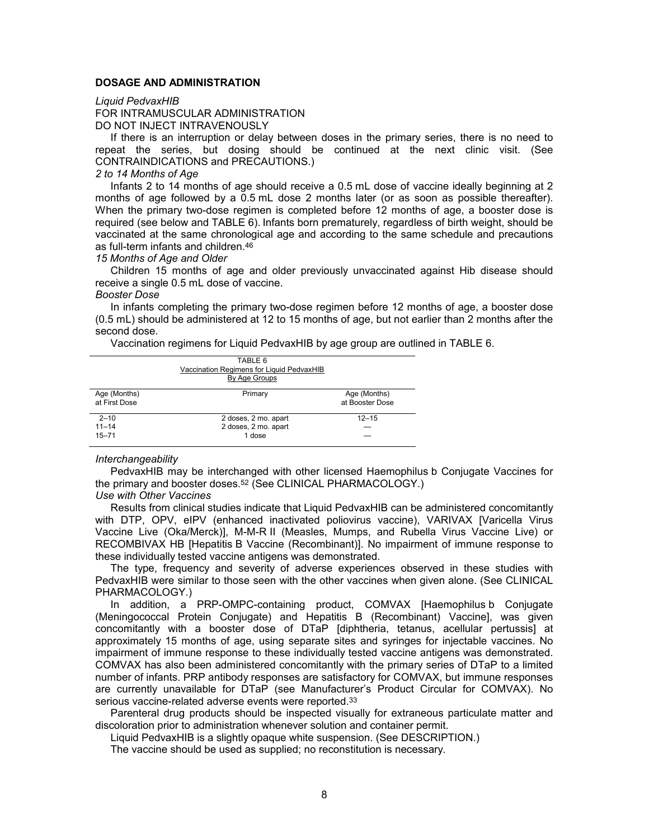## **DOSAGE AND ADMINISTRATION**

#### *Liquid PedvaxHIB*

FOR INTRAMUSCULAR ADMINISTRATION DO NOT INJECT INTRAVENOUSLY

If there is an interruption or delay between doses in the primary series, there is no need to repeat the series, but dosing should be continued at the next clinic visit. (See CONTRAINDICATIONS and PRECAUTIONS.)

#### *2 to 14 Months of Age*

Infants 2 to 14 months of age should receive a 0.5 mL dose of vaccine ideally beginning at 2 months of age followed by a 0.5 mL dose 2 months later (or as soon as possible thereafter). When the primary two-dose regimen is completed before 12 months of age, a booster dose is required (see below and TABLE 6). Infants born prematurely, regardless of birth weight, should be vaccinated at the same chronological age and according to the same schedule and precautions as full-term infants and children.<sup>46</sup>

#### *15 Months of Age and Older*

Children 15 months of age and older previously unvaccinated against Hib disease should receive a single 0.5 mL dose of vaccine.

#### *Booster Dose*

In infants completing the primary two-dose regimen before 12 months of age, a booster dose (0.5 mL) should be administered at 12 to 15 months of age, but not earlier than 2 months after the second dose.

Vaccination regimens for Liquid PedvaxHIB by age group are outlined in TABLE 6.

|                               | TABLE 6<br>Vaccination Regimens for Liguid PedvaxHIB<br>By Age Groups |                                 |
|-------------------------------|-----------------------------------------------------------------------|---------------------------------|
| Age (Months)<br>at First Dose | Primary                                                               | Age (Months)<br>at Booster Dose |
| $2 - 10$                      | 2 doses, 2 mo. apart                                                  | $12 - 15$                       |
| $11 - 14$                     | 2 doses, 2 mo. apart                                                  |                                 |
| $15 - 71$                     | 1 dose                                                                |                                 |

#### *Interchangeability*

PedvaxHIB may be interchanged with other licensed Haemophilus b Conjugate Vaccines for the primary and booster doses.<sup>52</sup> (See CLINICAL PHARMACOLOGY.)

#### *Use with Other Vaccines*

Results from clinical studies indicate that Liquid PedvaxHIB can be administered concomitantly with DTP, OPV, eIPV (enhanced inactivated poliovirus vaccine), VARIVAX [Varicella Virus Vaccine Live (Oka/Merck)], M-M-R II (Measles, Mumps, and Rubella Virus Vaccine Live) or RECOMBIVAX HB [Hepatitis B Vaccine (Recombinant)]. No impairment of immune response to these individually tested vaccine antigens was demonstrated.

The type, frequency and severity of adverse experiences observed in these studies with PedvaxHIB were similar to those seen with the other vaccines when given alone. (See CLINICAL PHARMACOLOGY.)

In addition, a PRP-OMPC-containing product, COMVAX [Haemophilus b Conjugate (Meningococcal Protein Conjugate) and Hepatitis B (Recombinant) Vaccine], was given concomitantly with a booster dose of DTaP [diphtheria, tetanus, acellular pertussis] at approximately 15 months of age, using separate sites and syringes for injectable vaccines. No impairment of immune response to these individually tested vaccine antigens was demonstrated. COMVAX has also been administered concomitantly with the primary series of DTaP to a limited number of infants. PRP antibody responses are satisfactory for COMVAX, but immune responses are currently unavailable for DTaP (see Manufacturer's Product Circular for COMVAX). No serious vaccine-related adverse events were reported.<sup>33</sup>

Parenteral drug products should be inspected visually for extraneous particulate matter and discoloration prior to administration whenever solution and container permit.

Liquid PedvaxHIB is a slightly opaque white suspension. (See DESCRIPTION.)

The vaccine should be used as supplied; no reconstitution is necessary.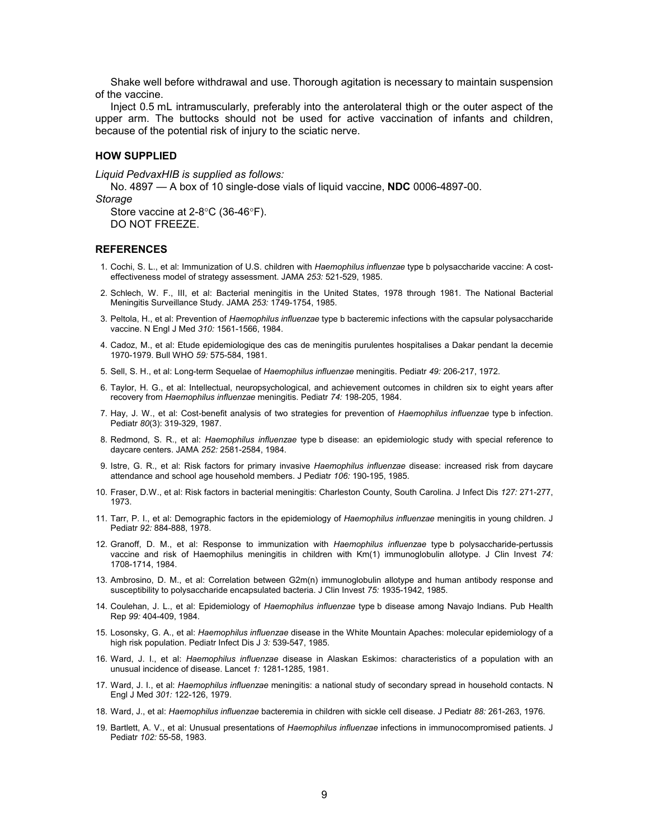Shake well before withdrawal and use. Thorough agitation is necessary to maintain suspension of the vaccine.

Inject 0.5 mL intramuscularly, preferably into the anterolateral thigh or the outer aspect of the upper arm. The buttocks should not be used for active vaccination of infants and children, because of the potential risk of injury to the sciatic nerve.

#### **HOW SUPPLIED**

*Liquid PedvaxHIB is supplied as follows:*

No. 4897 — A box of 10 single-dose vials of liquid vaccine, **NDC** 0006-4897-00.

*Storage* 

Store vaccine at  $2-8$ °C (36-46°F). DO NOT FREEZE.

#### **REFERENCES**

- 1. Cochi, S. L., et al: Immunization of U.S. children with *Haemophilus influenzae* type b polysaccharide vaccine: A costeffectiveness model of strategy assessment. JAMA *253:* 521-529, 1985.
- 2. Schlech, W. F., III, et al: Bacterial meningitis in the United States, 1978 through 1981. The National Bacterial Meningitis Surveillance Study. JAMA *253:* 1749-1754, 1985.
- 3. Peltola, H., et al: Prevention of *Haemophilus influenzae* type b bacteremic infections with the capsular polysaccharide vaccine. N Engl J Med *310:* 1561-1566, 1984.
- 4. Cadoz, M., et al: Etude epidemiologique des cas de meningitis purulentes hospitalises a Dakar pendant la decemie 1970-1979. Bull WHO *59:* 575-584, 1981.
- 5. Sell, S. H., et al: Long-term Sequelae of *Haemophilus influenzae* meningitis. Pediatr *49:* 206-217, 1972.
- 6. Taylor, H. G., et al: Intellectual, neuropsychological, and achievement outcomes in children six to eight years after recovery from *Haemophilus influenzae* meningitis. Pediatr *74:* 198-205, 1984.
- 7. Hay, J. W., et al: Cost-benefit analysis of two strategies for prevention of *Haemophilus influenzae* type b infection. Pediatr *80*(3): 319-329, 1987.
- 8. Redmond, S. R., et al: *Haemophilus influenzae* type b disease: an epidemiologic study with special reference to daycare centers. JAMA *252:* 2581-2584, 1984.
- 9. Istre, G. R., et al: Risk factors for primary invasive *Haemophilus influenzae* disease: increased risk from daycare attendance and school age household members. J Pediatr *106:* 190-195, 1985.
- 10. Fraser, D.W., et al: Risk factors in bacterial meningitis: Charleston County, South Carolina. J Infect Dis *127:* 271-277, 1973.
- 11. Tarr, P. I., et al: Demographic factors in the epidemiology of *Haemophilus influenzae* meningitis in young children. J Pediatr *92:* 884-888, 1978.
- 12. Granoff, D. M., et al: Response to immunization with *Haemophilus influenzae* type b polysaccharide-pertussis vaccine and risk of Haemophilus meningitis in children with Km(1) immunoglobulin allotype. J Clin Invest *74:* 1708-1714, 1984.
- 13. Ambrosino, D. M., et al: Correlation between G2m(n) immunoglobulin allotype and human antibody response and susceptibility to polysaccharide encapsulated bacteria. J Clin Invest *75:* 1935-1942, 1985.
- 14. Coulehan, J. L., et al: Epidemiology of *Haemophilus influenzae* type b disease among Navajo Indians. Pub Health Rep *99:* 404-409, 1984.
- 15. Losonsky, G. A., et al: *Haemophilus influenzae* disease in the White Mountain Apaches: molecular epidemiology of a high risk population. Pediatr Infect Dis J *3:* 539-547, 1985.
- 16. Ward, J. I., et al: *Haemophilus influenzae* disease in Alaskan Eskimos: characteristics of a population with an unusual incidence of disease. Lancet *1:* 1281-1285, 1981.
- 17. Ward, J. I., et al: *Haemophilus influenzae* meningitis: a national study of secondary spread in household contacts. N Engl J Med *301:* 122-126, 1979.
- 18. Ward, J., et al: *Haemophilus influenzae* bacteremia in children with sickle cell disease. J Pediatr *88:* 261-263, 1976.
- 19. Bartlett, A. V., et al: Unusual presentations of *Haemophilus influenzae* infections in immunocompromised patients. J Pediatr *102:* 55-58, 1983.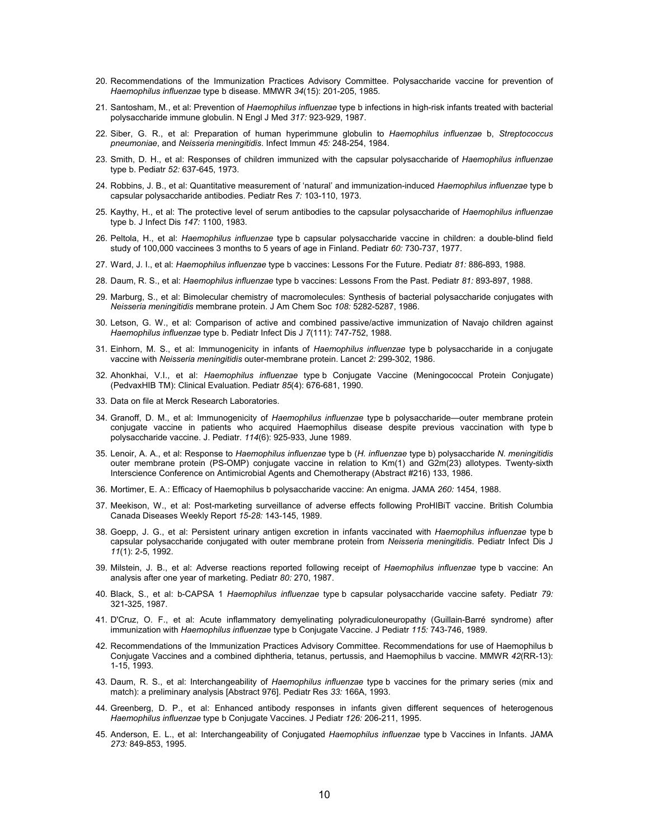- 20. Recommendations of the Immunization Practices Advisory Committee. Polysaccharide vaccine for prevention of *Haemophilus influenzae* type b disease. MMWR *34*(15): 201-205, 1985.
- 21. Santosham, M., et al: Prevention of *Haemophilus influenzae* type b infections in high-risk infants treated with bacterial polysaccharide immune globulin. N Engl J Med *317:* 923-929, 1987.
- 22. Siber, G. R., et al: Preparation of human hyperimmune globulin to *Haemophilus influenzae* b, *Streptococcus pneumoniae*, and *Neisseria meningitidis*. Infect Immun *45:* 248-254, 1984.
- 23. Smith, D. H., et al: Responses of children immunized with the capsular polysaccharide of *Haemophilus influenzae* type b. Pediatr *52:* 637-645, 1973.
- 24. Robbins, J. B., et al: Quantitative measurement of 'natural' and immunization-induced *Haemophilus influenzae* type b capsular polysaccharide antibodies. Pediatr Res *7:* 103-110, 1973.
- 25. Kaythy, H., et al: The protective level of serum antibodies to the capsular polysaccharide of *Haemophilus influenzae* type b. J Infect Dis *147:* 1100, 1983.
- 26. Peltola, H., et al: *Haemophilus influenzae* type b capsular polysaccharide vaccine in children: a double-blind field study of 100,000 vaccinees 3 months to 5 years of age in Finland. Pediatr *60:* 730-737, 1977.
- 27. Ward, J. I., et al: *Haemophilus influenzae* type b vaccines: Lessons For the Future. Pediatr *81:* 886-893, 1988.
- 28. Daum, R. S., et al: *Haemophilus influenzae* type b vaccines: Lessons From the Past. Pediatr *81:* 893-897, 1988.
- 29. Marburg, S., et al: Bimolecular chemistry of macromolecules: Synthesis of bacterial polysaccharide conjugates with *Neisseria meningitidis* membrane protein. J Am Chem Soc *108:* 5282-5287, 1986.
- 30. Letson, G. W., et al: Comparison of active and combined passive/active immunization of Navajo children against *Haemophilus influenzae* type b. Pediatr Infect Dis J *7*(111): 747-752, 1988.
- 31. Einhorn, M. S., et al: Immunogenicity in infants of *Haemophilus influenzae* type b polysaccharide in a conjugate vaccine with *Neisseria meningitidis* outer-membrane protein. Lancet *2:* 299-302, 1986.
- 32. Ahonkhai, V.I., et al: *Haemophilus influenzae* type b Conjugate Vaccine (Meningococcal Protein Conjugate) (PedvaxHIB TM): Clinical Evaluation. Pediatr *85*(4): 676-681, 1990.
- 33. Data on file at Merck Research Laboratories.
- 34. Granoff, D. M., et al: Immunogenicity of *Haemophilus influenzae* type b polysaccharide—outer membrane protein conjugate vaccine in patients who acquired Haemophilus disease despite previous vaccination with type b polysaccharide vaccine. J. Pediatr. *114*(6): 925-933, June 1989.
- 35. Lenoir, A. A., et al: Response to *Haemophilus influenzae* type b (*H. influenzae* type b) polysaccharide *N. meningitidis* outer membrane protein (PS-OMP) conjugate vaccine in relation to Km(1) and G2m(23) allotypes. Twenty-sixth Interscience Conference on Antimicrobial Agents and Chemotherapy (Abstract #216) 133, 1986.
- 36. Mortimer, E. A.: Efficacy of Haemophilus b polysaccharide vaccine: An enigma. JAMA *260:* 1454, 1988.
- 37. Meekison, W., et al: Post-marketing surveillance of adverse effects following ProHIBiT vaccine. British Columbia Canada Diseases Weekly Report *15-28:* 143-145, 1989.
- 38. Goepp, J. G., et al: Persistent urinary antigen excretion in infants vaccinated with *Haemophilus influenzae* type b capsular polysaccharide conjugated with outer membrane protein from *Neisseria meningitidis*. Pediatr Infect Dis J *11*(1): 2-5, 1992.
- 39. Milstein, J. B., et al: Adverse reactions reported following receipt of *Haemophilus influenzae* type b vaccine: An analysis after one year of marketing. Pediatr *80:* 270, 1987.
- 40. Black, S., et al: b-CAPSA 1 *Haemophilus influenzae* type b capsular polysaccharide vaccine safety. Pediatr *79:* 321-325, 1987.
- 41. D'Cruz, O. F., et al: Acute inflammatory demyelinating polyradiculoneuropathy (Guillain-Barré syndrome) after immunization with *Haemophilus influenzae* type b Conjugate Vaccine. J Pediatr *115:* 743-746, 1989.
- 42. Recommendations of the Immunization Practices Advisory Committee. Recommendations for use of Haemophilus b Conjugate Vaccines and a combined diphtheria, tetanus, pertussis, and Haemophilus b vaccine. MMWR *42*(RR-13): 1-15, 1993.
- 43. Daum, R. S., et al: Interchangeability of *Haemophilus influenzae* type b vaccines for the primary series (mix and match): a preliminary analysis [Abstract 976]. Pediatr Res *33:* 166A, 1993.
- 44. Greenberg, D. P., et al: Enhanced antibody responses in infants given different sequences of heterogenous *Haemophilus influenzae* type b Conjugate Vaccines. J Pediatr *126:* 206-211, 1995.
- 45. Anderson, E. L., et al: Interchangeability of Conjugated *Haemophilus influenzae* type b Vaccines in Infants. JAMA *273:* 849-853, 1995.